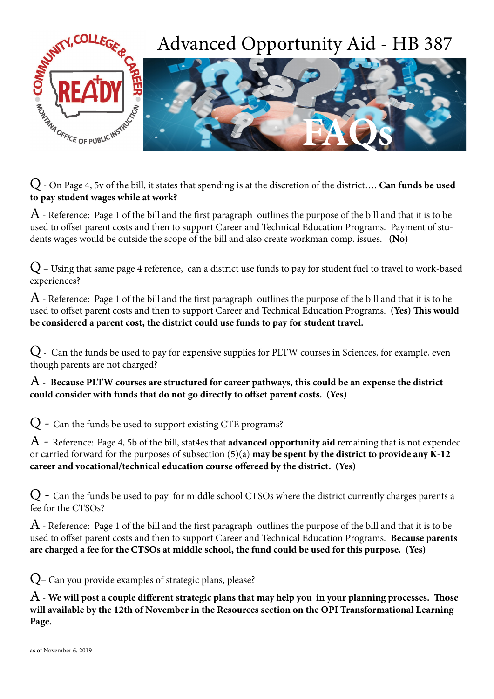

**to pay student wages while at work?** 

 $A$  - Reference: Page 1 of the bill and the first paragraph outlines the purpose of the bill and that it is to be used to offset parent costs and then to support Career and Technical Education Programs. Payment of students wages would be outside the scope of the bill and also create workman comp. issues. **(No)**

Q – Using that same page 4 reference, can a district use funds to pay for student fuel to travel to work-based experiences?

 $A$  - Reference: Page 1 of the bill and the first paragraph outlines the purpose of the bill and that it is to be used to offset parent costs and then to support Career and Technical Education Programs. **(Yes) This would be considered a parent cost, the district could use funds to pay for student travel.** 

Q - Can the funds be used to pay for expensive supplies for PLTW courses in Sciences, for example, even though parents are not charged?

A - **Because PLTW courses are structured for career pathways, this could be an expense the district could consider with funds that do not go directly to offset parent costs. (Yes)**

Q - Can the funds be used to support existing CTE programs?

A - Reference: Page 4, 5b of the bill, stat4es that **advanced opportunity aid** remaining that is not expended or carried forward for the purposes of subsection (5)(a) **may be spent by the district to provide any K-12 career and vocational/technical education course offereed by the district. (Yes)**

 $Q$  - Can the funds be used to pay for middle school CTSOs where the district currently charges parents a fee for the CTSOs?

 $A$  - Reference: Page 1 of the bill and the first paragraph outlines the purpose of the bill and that it is to be used to offset parent costs and then to support Career and Technical Education Programs. **Because parents are charged a fee for the CTSOs at middle school, the fund could be used for this purpose. (Yes)** 

Q– Can you provide examples of strategic plans, please?

A - **We will post a couple different strategic plans that may help you in your planning processes. Those will available by the 12th of November in the Resources section on the OPI Transformational Learning Page.**